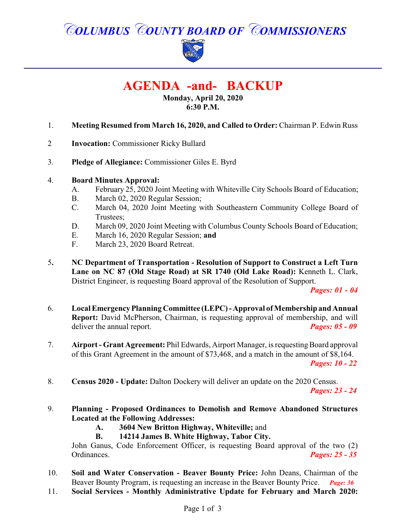*COLUMBUS COUNTY BOARD OF COMMISSIONERS*



**AGENDA -and- BACKUP**

**Monday, April 20, 2020 6:30 P.M.**

- 1. **Meeting Resumed from March 16, 2020, and Called to Order:** Chairman P. Edwin Russ
- 2 **Invocation:** Commissioner Ricky Bullard
- 3. **Pledge of Allegiance:** Commissioner Giles E. Byrd

#### 4. **Board Minutes Approval:**

- A. February 25, 2020 Joint Meeting with Whiteville City Schools Board of Education;
- B. March 02, 2020 Regular Session;
- C. March 04, 2020 Joint Meeting with Southeastern Community College Board of Trustees;
- D. March 09, 2020 Joint Meeting with Columbus County Schools Board of Education;
- E. March 16, 2020 Regular Session; **and**
- F. March 23, 2020 Board Retreat.
- 5**. NC Department of Transportation Resolution of Support to Construct a Left Turn Lane on NC 87 (Old Stage Road) at SR 1740 (Old Lake Road):** Kenneth L. Clark, District Engineer, is requesting Board approval of the Resolution of Support.

*Pages: 01 - 04* 

- 6. **Local Emergency Planning Committee (LEPC) -Approval ofMembership and Annual Report:** David McPherson, Chairman, is requesting approval of membership, and will deliver the annual report. *Pages: 05 - 09*
- 7. **Airport Grant Agreement:** Phil Edwards, Airport Manager, is requesting Board approval of this Grant Agreement in the amount of \$73,468, and a match in the amount of \$8,164.

*Pages: 10 - 22*

- 8. **Census 2020 Update:** Dalton Dockery will deliver an update on the 2020 Census. *Pages: 23 - 24*
- 9. **Planning Proposed Ordinances to Demolish and Remove Abandoned Structures Located at the Following Addresses:**
	- **A. 3604 New Britton Highway, Whiteville;** and
	- **B. 14214 James B. White Highway, Tabor City.**

John Ganus, Code Enforcement Officer, is requesting Board approval of the two (2) Ordinances. *Pages: 25 - 35*

- 10. **Soil and Water Conservation - Beaver Bounty Price:** John Deans, Chairman of the Beaver Bounty Program, is requesting an increase in the Beaver Bounty Price. *Page: 36*
- 11. **Social Services Monthly Administrative Update for February and March 2020:**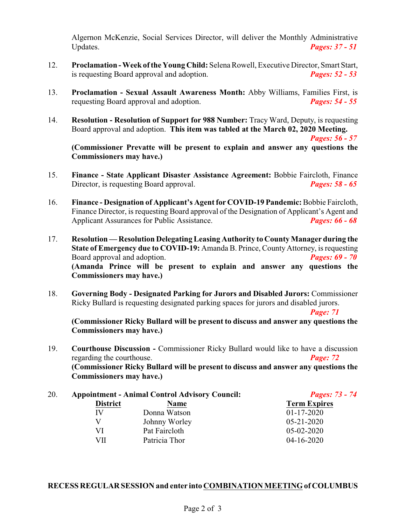Algernon McKenzie, Social Services Director, will deliver the Monthly Administrative Updates. *Pages: 37 - 51*

- 12. **Proclamation Week ofthe Young Child:** Selena Rowell, Executive Director, Smart Start, is requesting Board approval and adoption. *Pages: 52 - 53*
- 13. **Proclamation Sexual Assault Awareness Month:** Abby Williams, Families First, is requesting Board approval and adoption. *Pages: 54 - 55*
- 14. **Resolution Resolution of Support for 988 Number:** Tracy Ward, Deputy, is requesting Board approval and adoption. **This item was tabled at the March 02, 2020 Meeting.**

*Pages: 56 - 57*

**(Commissioner Prevatte will be present to explain and answer any questions the Commissioners may have.)**

- 15. **Finance State Applicant Disaster Assistance Agreement:** Bobbie Faircloth, Finance Director, is requesting Board approval. *Pages: 58 - 65*
- 16. **Finance Designation of Applicant's Agent for COVID-19 Pandemic:**Bobbie Faircloth, Finance Director, is requesting Board approval of the Designation of Applicant's Agent and Applicant Assurances for Public Assistance. *Pages: 66 - 68*
- 17. **Resolution Resolution Delegating Leasing Authority to County Manager during the State of Emergency due to COVID-19:** Amanda B. Prince, County Attorney, is requesting Board approval and adoption. *Pages: 69 - 70* **(Amanda Prince will be present to explain and answer any questions the Commissioners may have.)**
- 18. **Governing Body Designated Parking for Jurors and Disabled Jurors:** Commissioner Ricky Bullard is requesting designated parking spaces for jurors and disabled jurors.

*Page: 71*

**(Commissioner Ricky Bullard will be present to discuss and answer any questions the Commissioners may have.)**

19. **Courthouse Discussion -** Commissioner Ricky Bullard would like to have a discussion regarding the courthouse. *Page: 72* **(Commissioner Ricky Bullard will be present to discuss and answer any questions the Commissioners may have.)**

| 20. | <b>Appointment - Animal Control Advisory Council:</b> |               | <b>Pages: 73 - 74</b> |
|-----|-------------------------------------------------------|---------------|-----------------------|
|     | <b>District</b>                                       | Name          | <b>Term Expires</b>   |
|     | IV                                                    | Donna Watson  | $01 - 17 - 2020$      |
|     |                                                       | Johnny Worley | $05 - 21 - 2020$      |
|     | VI                                                    | Pat Faircloth | $05-02-2020$          |
|     | VII                                                   | Patricia Thor | $04-16-2020$          |
|     |                                                       |               |                       |

#### **RECESS REGULAR SESSION and enter into COMBINATION MEETING of COLUMBUS**